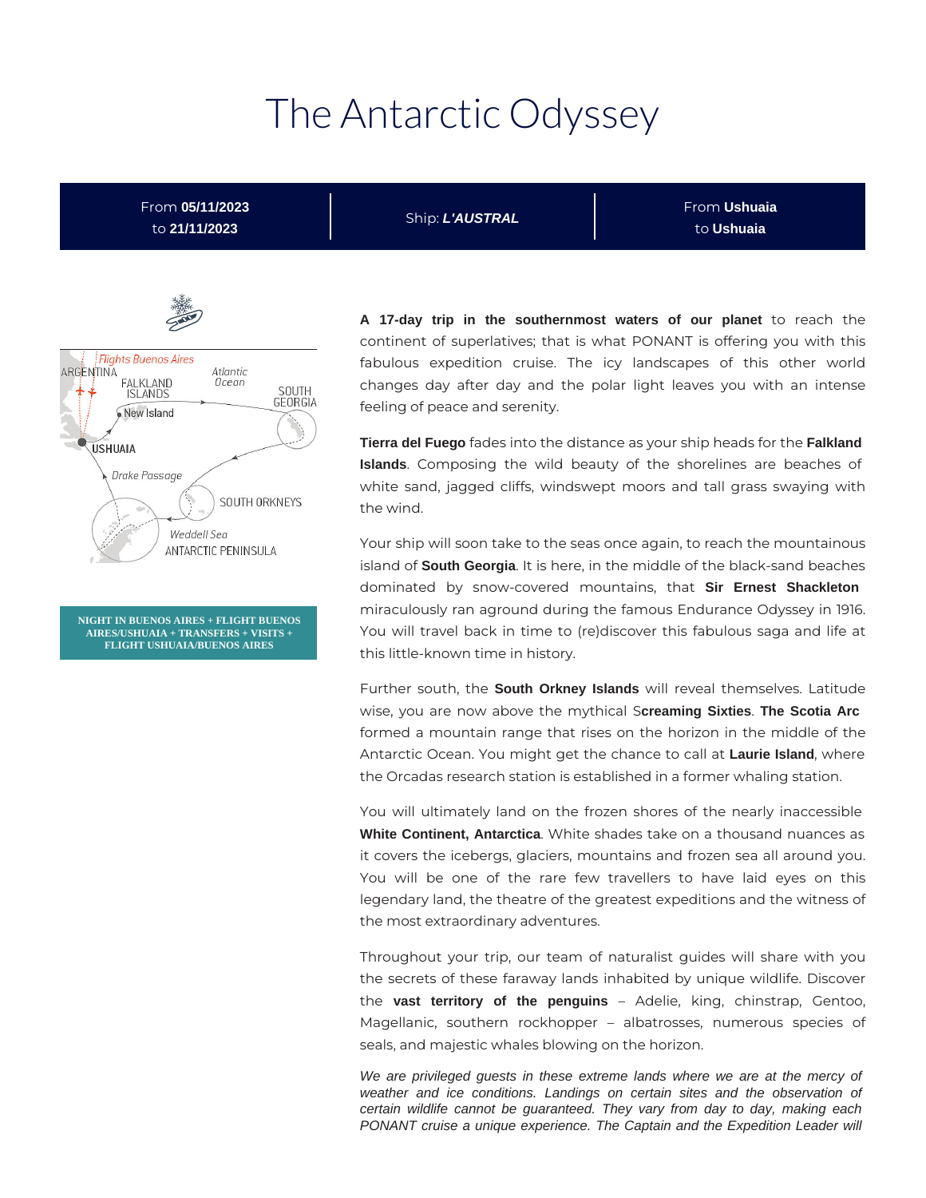# The Antarctic Odyssey

From **05/11/2023** to **21/11/2023**

Ship: **L'AUSTRAL**

From **Ushuaia** to **Ushuaia**



**NIGHT IN BUENOS AIRES + FLIGHT BUENOS AIRES/USHUAIA + TRANSFERS + VISITS + FLIGHT USHUAIA/BUENOS AIRES**

**A 17-day trip in the southernmost waters of our planet** to reach the continent of superlatives; that is what PONANT is offering you with this fabulous expedition cruise. The icy landscapes of this other world changes day after day and the polar light leaves you with an intense feeling of peace and serenity.

**Tierra del Fuego** fades into the distance as your ship heads for the **Falkland Islands**. Composing the wild beauty of the shorelines are beaches of white sand, jagged cliffs, windswept moors and tall grass swaying with the wind.

Your ship will soon take to the seas once again, to reach the mountainous island of **South Georgia**. It is here, in the middle of the black-sand beaches dominated by snow-covered mountains, that **Sir Ernest Shackleton** miraculously ran aground during the famous Endurance Odyssey in 1916. You will travel back in time to (re)discover this fabulous saga and life at this little-known time in history.

Further south, the **South Orkney Islands** will reveal themselves. Latitude wise, you are now above the mythical S**creaming Sixties**. **The Scotia Arc** formed a mountain range that rises on the horizon in the middle of the Antarctic Ocean. You might get the chance to call at **Laurie Island**, where the Orcadas research station is established in a former whaling station.

You will ultimately land on the frozen shores of the nearly inaccessible **White Continent, Antarctica**. White shades take on a thousand nuances as it covers the icebergs, glaciers, mountains and frozen sea all around you. You will be one of the rare few travellers to have laid eyes on this legendary land, the theatre of the greatest expeditions and the witness of the most extraordinary adventures.

Throughout your trip, our team of naturalist guides will share with you the secrets of these faraway lands inhabited by unique wildlife. Discover the **vast territory of the penguins** – Adelie, king, chinstrap, Gentoo, Magellanic, southern rockhopper – albatrosses, numerous species of seals, and majestic whales blowing on the horizon.

We are privileged guests in these extreme lands where we are at the mercy of weather and ice conditions. Landings on certain sites and the observation of certain wildlife cannot be guaranteed. They vary from day to day, making each PONANT cruise a unique experience. The Captain and the Expedition Leader will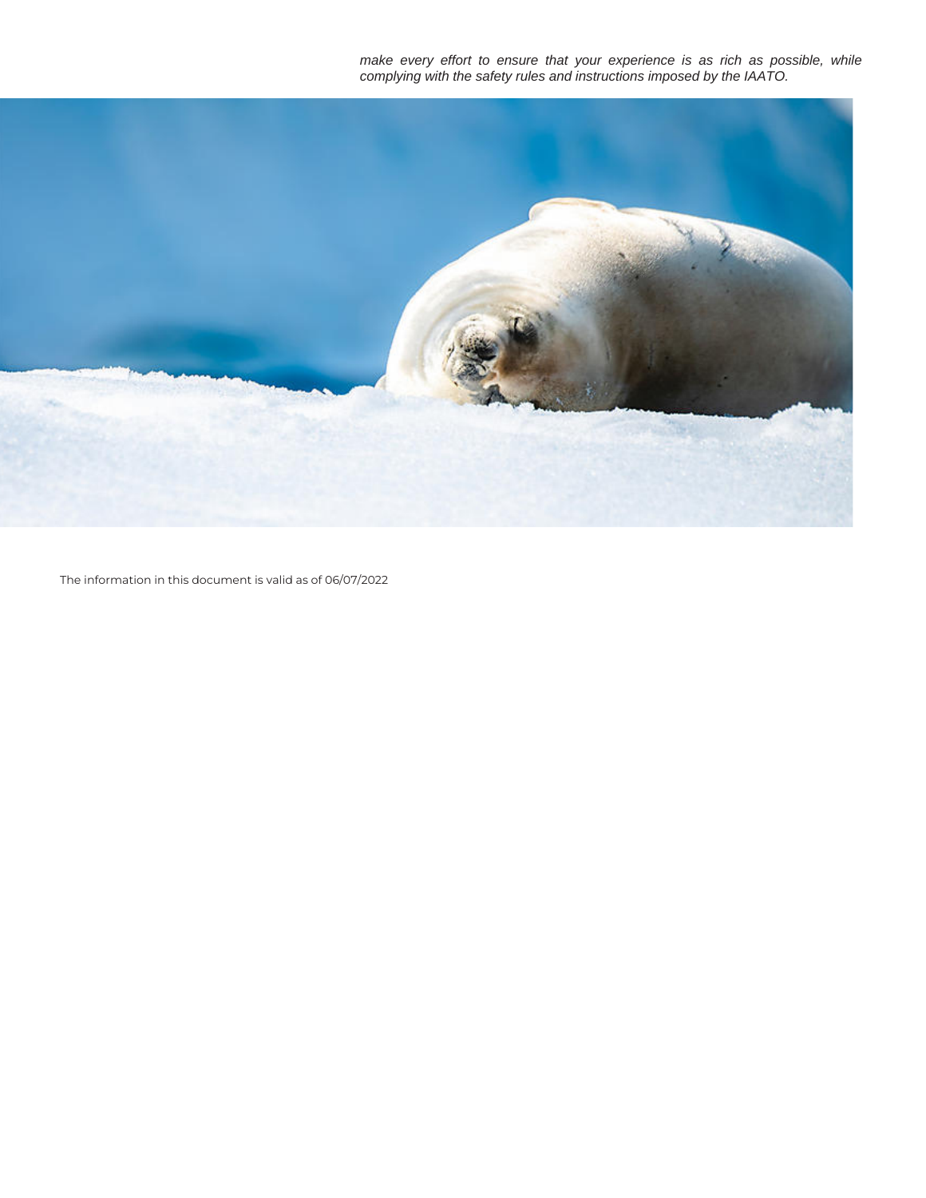make every effort to ensure that your experience is as rich as possible, while complying with the safety rules and instructions imposed by the IAATO.



The information in this document is valid as of 06/07/2022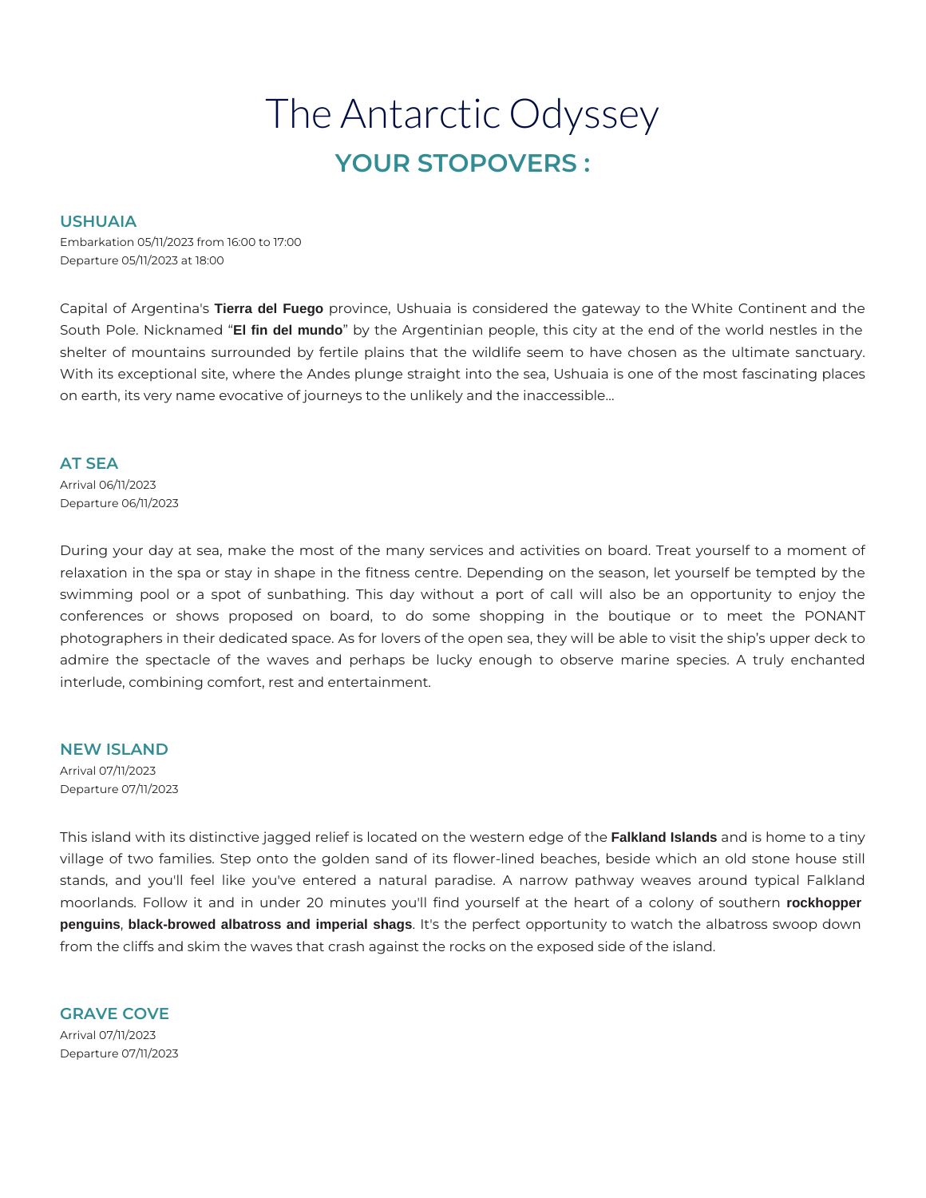# The Antarctic Odyssey **YOUR STOPOVERS :**

## **USHUAIA**

Embarkation 05/11/2023 from 16:00 to 17:00 Departure 05/11/2023 at 18:00

Capital of Argentina's **Tierra del Fuego** province, Ushuaia is considered the gateway to the White Continent and the South Pole. Nicknamed "**El fin del mundo**" by the Argentinian people, this city at the end of the world nestles in the shelter of mountains surrounded by fertile plains that the wildlife seem to have chosen as the ultimate sanctuary. With its exceptional site, where the Andes plunge straight into the sea, Ushuaia is one of the most fascinating places on earth, its very name evocative of journeys to the unlikely and the inaccessible…

#### **AT SEA**

Arrival 06/11/2023 Departure 06/11/2023

During your day at sea, make the most of the many services and activities on board. Treat yourself to a moment of relaxation in the spa or stay in shape in the fitness centre. Depending on the season, let yourself be tempted by the swimming pool or a spot of sunbathing. This day without a port of call will also be an opportunity to enjoy the conferences or shows proposed on board, to do some shopping in the boutique or to meet the PONANT photographers in their dedicated space. As for lovers of the open sea, they will be able to visit the ship's upper deck to admire the spectacle of the waves and perhaps be lucky enough to observe marine species. A truly enchanted interlude, combining comfort, rest and entertainment.

#### **NEW ISLAND**

Arrival 07/11/2023 Departure 07/11/2023

This island with its distinctive jagged relief is located on the western edge of the **Falkland Islands** and is home to a tiny village of two families. Step onto the golden sand of its flower-lined beaches, beside which an old stone house still stands, and you'll feel like you've entered a natural paradise. A narrow pathway weaves around typical Falkland moorlands. Follow it and in under 20 minutes you'll find yourself at the heart of a colony of southern **rockhopper penguins**, **black-browed albatross and imperial shags**. It's the perfect opportunity to watch the albatross swoop down from the cliffs and skim the waves that crash against the rocks on the exposed side of the island.

**GRAVE COVE**  Arrival 07/11/2023 Departure 07/11/2023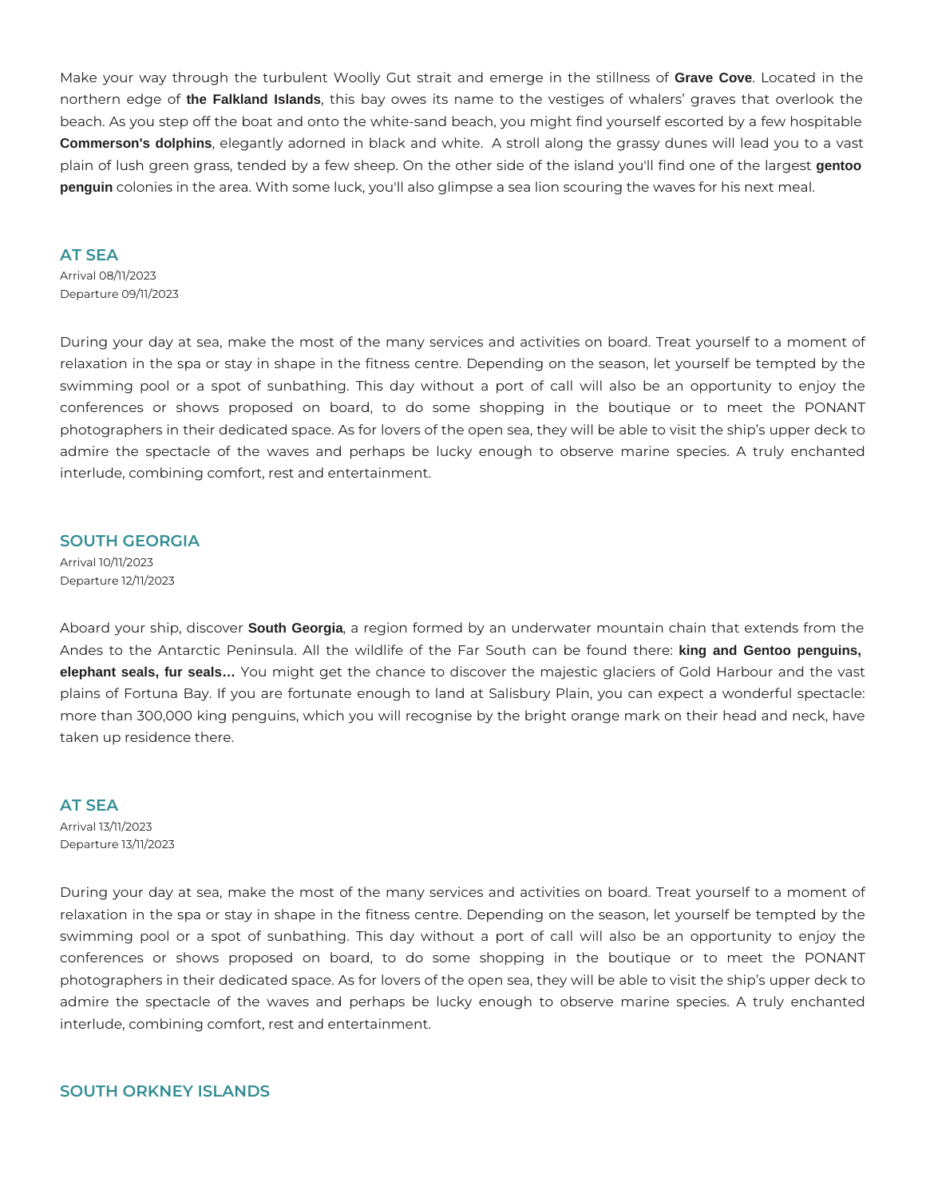Make your way through the turbulent Woolly Gut strait and emerge in the stillness of **Grave Cove**. Located in the northern edge of **the Falkland Islands**, this bay owes its name to the vestiges of whalers' graves that overlook the beach. As you step off the boat and onto the white-sand beach, you might find yourself escorted by a few hospitable **Commerson's dolphins**, elegantly adorned in black and white. A stroll along the grassy dunes will lead you to a vast plain of lush green grass, tended by a few sheep. On the other side of the island you'll find one of the largest **gentoo penguin** colonies in the area. With some luck, you'll also glimpse a sea lion scouring the waves for his next meal.

#### **AT SEA**

Arrival 08/11/2023 Departure 09/11/2023

During your day at sea, make the most of the many services and activities on board. Treat yourself to a moment of relaxation in the spa or stay in shape in the fitness centre. Depending on the season, let yourself be tempted by the swimming pool or a spot of sunbathing. This day without a port of call will also be an opportunity to enjoy the conferences or shows proposed on board, to do some shopping in the boutique or to meet the PONANT photographers in their dedicated space. As for lovers of the open sea, they will be able to visit the ship's upper deck to admire the spectacle of the waves and perhaps be lucky enough to observe marine species. A truly enchanted interlude, combining comfort, rest and entertainment.

#### **SOUTH GEORGIA**

Arrival 10/11/2023 Departure 12/11/2023

Aboard your ship, discover **South Georgia**, a region formed by an underwater mountain chain that extends from the Andes to the Antarctic Peninsula. All the wildlife of the Far South can be found there: **king and Gentoo penguins, elephant seals, fur seals…** You might get the chance to discover the majestic glaciers of Gold Harbour and the vast plains of Fortuna Bay. If you are fortunate enough to land at Salisbury Plain, you can expect a wonderful spectacle: more than 300,000 king penguins, which you will recognise by the bright orange mark on their head and neck, have taken up residence there.

#### **AT SEA**

Arrival 13/11/2023 Departure 13/11/2023

During your day at sea, make the most of the many services and activities on board. Treat yourself to a moment of relaxation in the spa or stay in shape in the fitness centre. Depending on the season, let yourself be tempted by the swimming pool or a spot of sunbathing. This day without a port of call will also be an opportunity to enjoy the conferences or shows proposed on board, to do some shopping in the boutique or to meet the PONANT photographers in their dedicated space. As for lovers of the open sea, they will be able to visit the ship's upper deck to admire the spectacle of the waves and perhaps be lucky enough to observe marine species. A truly enchanted interlude, combining comfort, rest and entertainment.

# **SOUTH ORKNEY ISLANDS**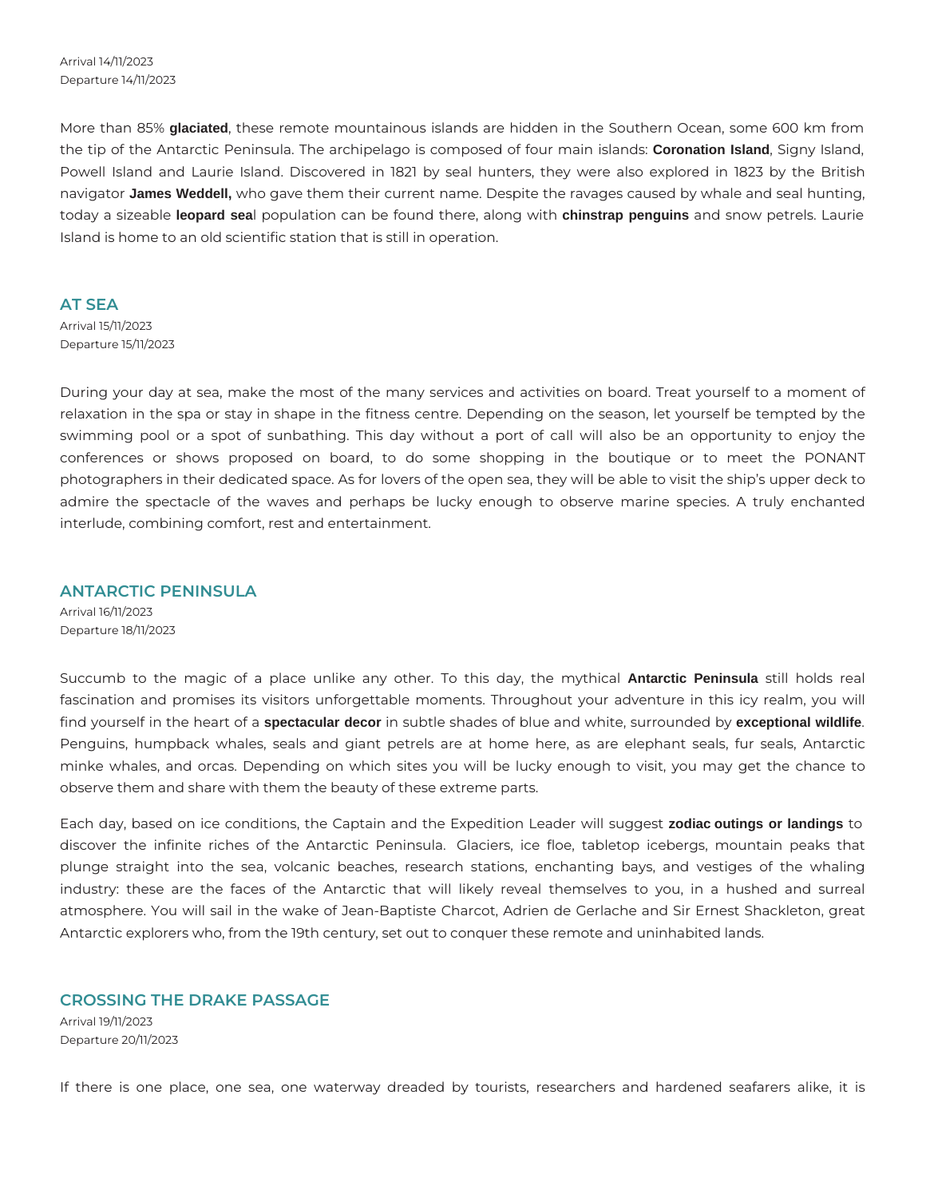Arrival 14/11/2023 Departure 14/11/2023

More than 85% **glaciated**, these remote mountainous islands are hidden in the Southern Ocean, some 600 km from the tip of the Antarctic Peninsula. The archipelago is composed of four main islands: **Coronation Island**, Signy Island, Powell Island and Laurie Island. Discovered in 1821 by seal hunters, they were also explored in 1823 by the British navigator **James Weddell,** who gave them their current name. Despite the ravages caused by whale and seal hunting, today a sizeable **leopard sea**l population can be found there, along with **chinstrap penguins** and snow petrels. Laurie Island is home to an old scientific station that is still in operation.

#### **AT SEA**

Arrival 15/11/2023 Departure 15/11/2023

During your day at sea, make the most of the many services and activities on board. Treat yourself to a moment of relaxation in the spa or stay in shape in the fitness centre. Depending on the season, let yourself be tempted by the swimming pool or a spot of sunbathing. This day without a port of call will also be an opportunity to enjoy the conferences or shows proposed on board, to do some shopping in the boutique or to meet the PONANT photographers in their dedicated space. As for lovers of the open sea, they will be able to visit the ship's upper deck to admire the spectacle of the waves and perhaps be lucky enough to observe marine species. A truly enchanted interlude, combining comfort, rest and entertainment.

### **ANTARCTIC PENINSULA**

Arrival 16/11/2023 Departure 18/11/2023

Succumb to the magic of a place unlike any other. To this day, the mythical **Antarctic Peninsula** still holds real fascination and promises its visitors unforgettable moments. Throughout your adventure in this icy realm, you will find yourself in the heart of a **spectacular decor** in subtle shades of blue and white, surrounded by **exceptional wildlife**. Penguins, humpback whales, seals and giant petrels are at home here, as are elephant seals, fur seals, Antarctic minke whales, and orcas. Depending on which sites you will be lucky enough to visit, you may get the chance to observe them and share with them the beauty of these extreme parts.

Each day, based on ice conditions, the Captain and the Expedition Leader will suggest **zodiac outings or landings** to discover the infinite riches of the Antarctic Peninsula. Glaciers, ice floe, tabletop icebergs, mountain peaks that plunge straight into the sea, volcanic beaches, research stations, enchanting bays, and vestiges of the whaling industry: these are the faces of the Antarctic that will likely reveal themselves to you, in a hushed and surreal atmosphere. You will sail in the wake of Jean-Baptiste Charcot, Adrien de Gerlache and Sir Ernest Shackleton, great Antarctic explorers who, from the 19th century, set out to conquer these remote and uninhabited lands.

#### **CROSSING THE DRAKE PASSAGE**

Arrival 19/11/2023 Departure 20/11/2023

If there is one place, one sea, one waterway dreaded by tourists, researchers and hardened seafarers alike, it is